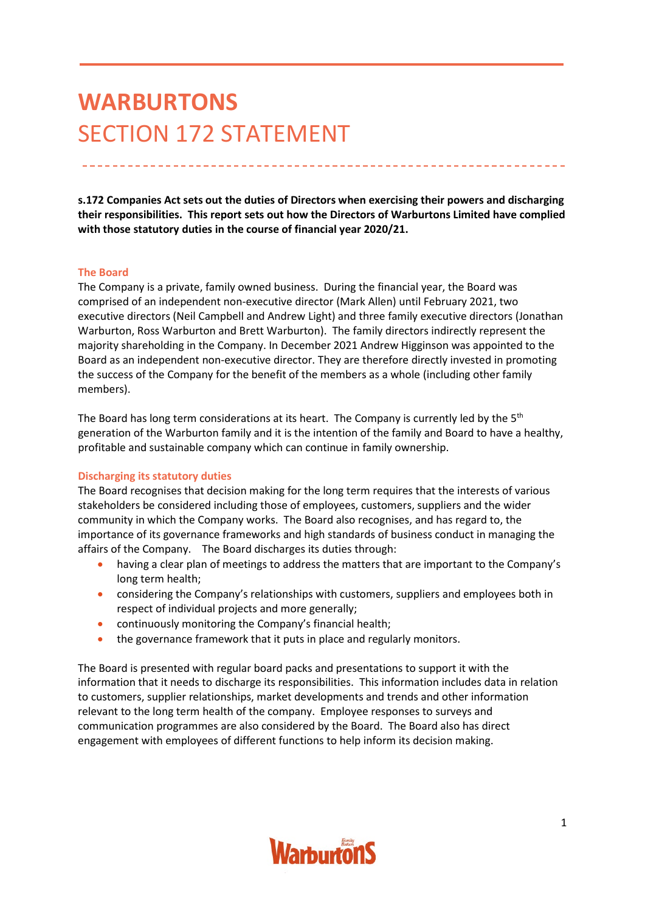# **WARBURTONS** SECTION 172 STATEMENT

**s.172 Companies Act sets out the duties of Directors when exercising their powers and discharging their responsibilities. This report sets out how the Directors of Warburtons Limited have complied with those statutory duties in the course of financial year 2020/21.**

#### **The Board**

The Company is a private, family owned business. During the financial year, the Board was comprised of an independent non-executive director (Mark Allen) until February 2021, two executive directors (Neil Campbell and Andrew Light) and three family executive directors (Jonathan Warburton, Ross Warburton and Brett Warburton). The family directors indirectly represent the majority shareholding in the Company. In December 2021 Andrew Higginson was appointed to the Board as an independent non-executive director. They are therefore directly invested in promoting the success of the Company for the benefit of the members as a whole (including other family members).

The Board has long term considerations at its heart. The Company is currently led by the  $5<sup>th</sup>$ generation of the Warburton family and it is the intention of the family and Board to have a healthy, profitable and sustainable company which can continue in family ownership.

#### **Discharging its statutory duties**

The Board recognises that decision making for the long term requires that the interests of various stakeholders be considered including those of employees, customers, suppliers and the wider community in which the Company works. The Board also recognises, and has regard to, the importance of its governance frameworks and high standards of business conduct in managing the affairs of the Company. The Board discharges its duties through:

- having a clear plan of meetings to address the matters that are important to the Company's long term health;
- considering the Company's relationships with customers, suppliers and employees both in respect of individual projects and more generally;
- continuously monitoring the Company's financial health;
- the governance framework that it puts in place and regularly monitors.

The Board is presented with regular board packs and presentations to support it with the information that it needs to discharge its responsibilities. This information includes data in relation to customers, supplier relationships, market developments and trends and other information relevant to the long term health of the company. Employee responses to surveys and communication programmes are also considered by the Board. The Board also has direct engagement with employees of different functions to help inform its decision making.

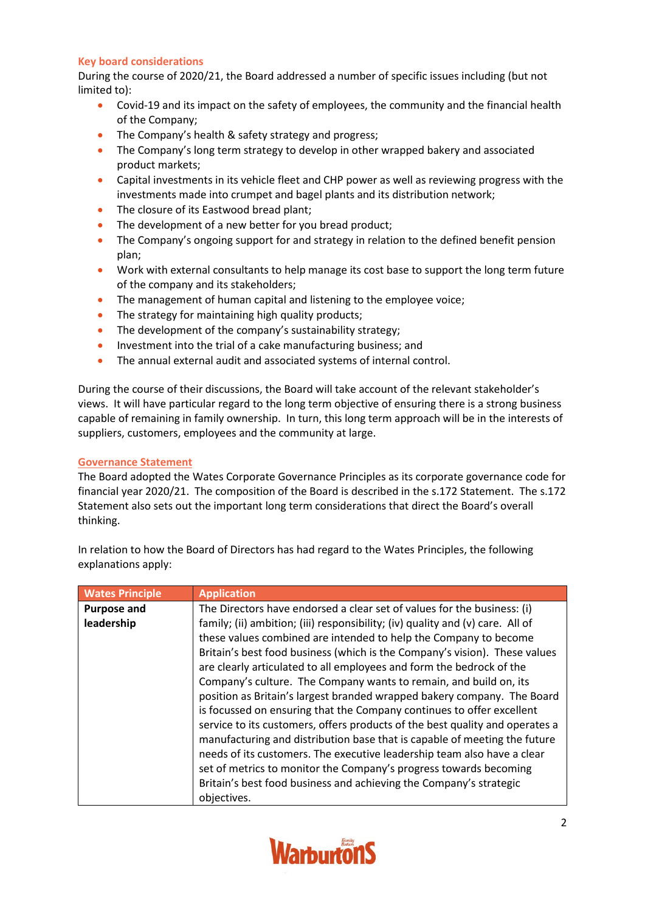### **Key board considerations**

During the course of 2020/21, the Board addressed a number of specific issues including (but not limited to):

- Covid-19 and its impact on the safety of employees, the community and the financial health of the Company;
- The Company's health & safety strategy and progress;
- The Company's long term strategy to develop in other wrapped bakery and associated product markets;
- Capital investments in its vehicle fleet and CHP power as well as reviewing progress with the investments made into crumpet and bagel plants and its distribution network;
- The closure of its Eastwood bread plant;
- The development of a new better for you bread product;
- The Company's ongoing support for and strategy in relation to the defined benefit pension plan;
- Work with external consultants to help manage its cost base to support the long term future of the company and its stakeholders;
- The management of human capital and listening to the employee voice;
- The strategy for maintaining high quality products;
- The development of the company's sustainability strategy;
- Investment into the trial of a cake manufacturing business; and
- The annual external audit and associated systems of internal control.

During the course of their discussions, the Board will take account of the relevant stakeholder's views. It will have particular regard to the long term objective of ensuring there is a strong business capable of remaining in family ownership. In turn, this long term approach will be in the interests of suppliers, customers, employees and the community at large.

## **Governance Statement**

The Board adopted the Wates Corporate Governance Principles as its corporate governance code for financial year 2020/21. The composition of the Board is described in the s.172 Statement. The s.172 Statement also sets out the important long term considerations that direct the Board's overall thinking.

In relation to how the Board of Directors has had regard to the Wates Principles, the following explanations apply:

| <b>Wates Principle</b> | <b>Application</b>                                                             |
|------------------------|--------------------------------------------------------------------------------|
| <b>Purpose and</b>     | The Directors have endorsed a clear set of values for the business: (i)        |
| leadership             | family; (ii) ambition; (iii) responsibility; (iv) quality and (v) care. All of |
|                        | these values combined are intended to help the Company to become               |
|                        | Britain's best food business (which is the Company's vision). These values     |
|                        | are clearly articulated to all employees and form the bedrock of the           |
|                        | Company's culture. The Company wants to remain, and build on, its              |
|                        | position as Britain's largest branded wrapped bakery company. The Board        |
|                        | is focussed on ensuring that the Company continues to offer excellent          |
|                        | service to its customers, offers products of the best quality and operates a   |
|                        | manufacturing and distribution base that is capable of meeting the future      |
|                        | needs of its customers. The executive leadership team also have a clear        |
|                        | set of metrics to monitor the Company's progress towards becoming              |
|                        | Britain's best food business and achieving the Company's strategic             |
|                        | objectives.                                                                    |

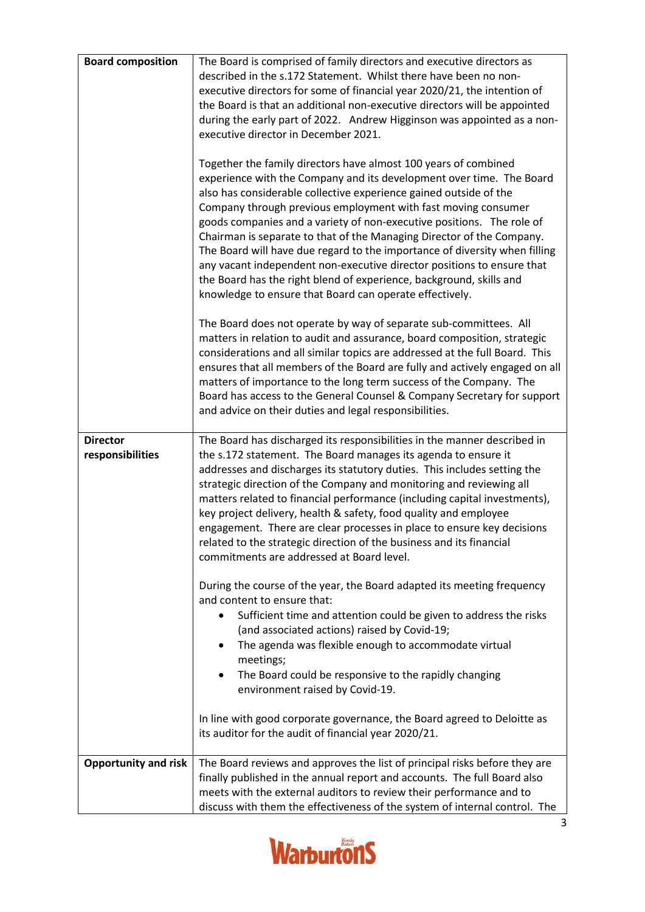| <b>Board composition</b>    | The Board is comprised of family directors and executive directors as                                                                             |
|-----------------------------|---------------------------------------------------------------------------------------------------------------------------------------------------|
|                             | described in the s.172 Statement. Whilst there have been no non-                                                                                  |
|                             |                                                                                                                                                   |
|                             | executive directors for some of financial year 2020/21, the intention of                                                                          |
|                             | the Board is that an additional non-executive directors will be appointed                                                                         |
|                             | during the early part of 2022. Andrew Higginson was appointed as a non-                                                                           |
|                             | executive director in December 2021.                                                                                                              |
|                             |                                                                                                                                                   |
|                             | Together the family directors have almost 100 years of combined                                                                                   |
|                             | experience with the Company and its development over time. The Board                                                                              |
|                             | also has considerable collective experience gained outside of the                                                                                 |
|                             |                                                                                                                                                   |
|                             | Company through previous employment with fast moving consumer                                                                                     |
|                             | goods companies and a variety of non-executive positions. The role of                                                                             |
|                             | Chairman is separate to that of the Managing Director of the Company.                                                                             |
|                             | The Board will have due regard to the importance of diversity when filling                                                                        |
|                             | any vacant independent non-executive director positions to ensure that                                                                            |
|                             | the Board has the right blend of experience, background, skills and                                                                               |
|                             | knowledge to ensure that Board can operate effectively.                                                                                           |
|                             |                                                                                                                                                   |
|                             | The Board does not operate by way of separate sub-committees. All                                                                                 |
|                             | matters in relation to audit and assurance, board composition, strategic                                                                          |
|                             | considerations and all similar topics are addressed at the full Board. This                                                                       |
|                             |                                                                                                                                                   |
|                             | ensures that all members of the Board are fully and actively engaged on all                                                                       |
|                             | matters of importance to the long term success of the Company. The                                                                                |
|                             | Board has access to the General Counsel & Company Secretary for support                                                                           |
|                             | and advice on their duties and legal responsibilities.                                                                                            |
|                             |                                                                                                                                                   |
| <b>Director</b>             | The Board has discharged its responsibilities in the manner described in                                                                          |
|                             |                                                                                                                                                   |
| responsibilities            | the s.172 statement. The Board manages its agenda to ensure it                                                                                    |
|                             |                                                                                                                                                   |
|                             | addresses and discharges its statutory duties. This includes setting the                                                                          |
|                             | strategic direction of the Company and monitoring and reviewing all                                                                               |
|                             | matters related to financial performance (including capital investments),                                                                         |
|                             | key project delivery, health & safety, food quality and employee                                                                                  |
|                             | engagement. There are clear processes in place to ensure key decisions                                                                            |
|                             | related to the strategic direction of the business and its financial                                                                              |
|                             | commitments are addressed at Board level.                                                                                                         |
|                             |                                                                                                                                                   |
|                             | During the course of the year, the Board adapted its meeting frequency                                                                            |
|                             | and content to ensure that:                                                                                                                       |
|                             | Sufficient time and attention could be given to address the risks<br>$\bullet$                                                                    |
|                             | (and associated actions) raised by Covid-19;                                                                                                      |
|                             | $\bullet$                                                                                                                                         |
|                             | The agenda was flexible enough to accommodate virtual                                                                                             |
|                             | meetings;<br>٠                                                                                                                                    |
|                             | The Board could be responsive to the rapidly changing                                                                                             |
|                             | environment raised by Covid-19.                                                                                                                   |
|                             |                                                                                                                                                   |
|                             | In line with good corporate governance, the Board agreed to Deloitte as                                                                           |
|                             | its auditor for the audit of financial year 2020/21.                                                                                              |
|                             |                                                                                                                                                   |
| <b>Opportunity and risk</b> | The Board reviews and approves the list of principal risks before they are                                                                        |
|                             | finally published in the annual report and accounts. The full Board also                                                                          |
|                             | meets with the external auditors to review their performance and to<br>discuss with them the effectiveness of the system of internal control. The |